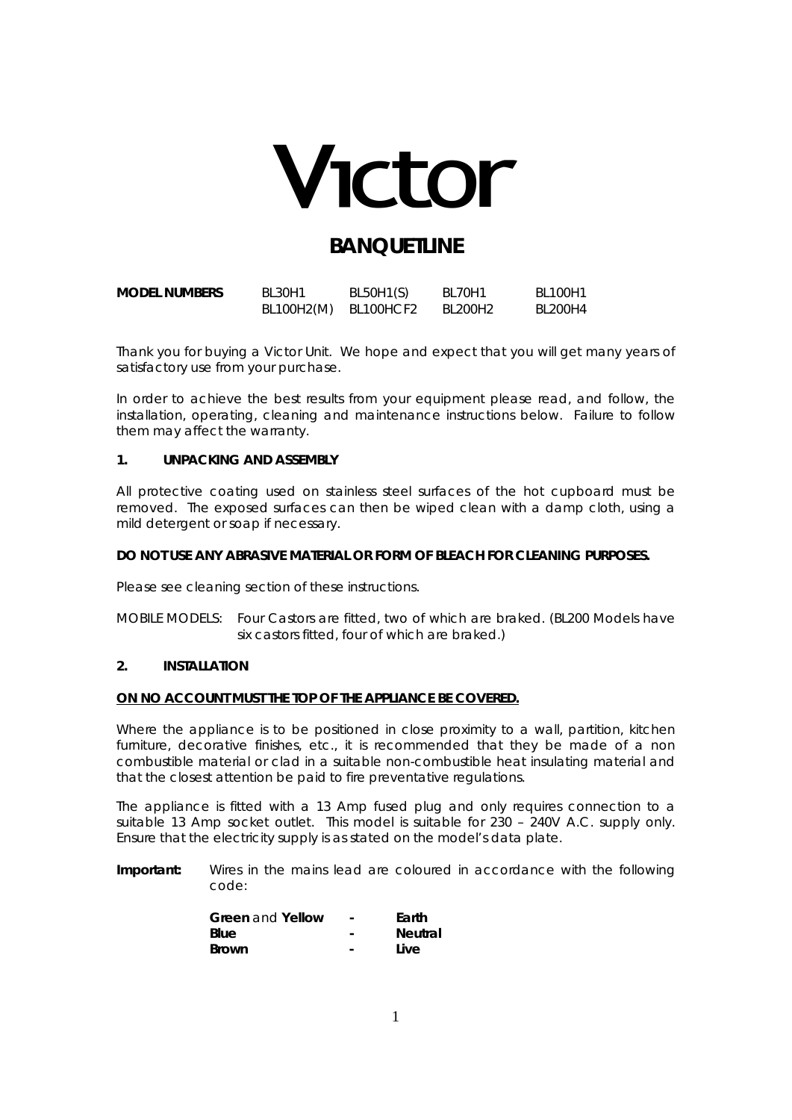

## **BANOUFTLINE**

| <b>MODEL NUMBERS</b> | <b>BL30H1</b>        | BL50H1(S) | <b>BL70H1</b> | BL100H1 |
|----------------------|----------------------|-----------|---------------|---------|
|                      | BL100H2(M) BL100HCF2 |           | BL200H2       | BL200H4 |

Thank you for buying a Victor Unit. We hope and expect that you will get many years of satisfactory use from your purchase.

In order to achieve the best results from your equipment please read, and follow, the installation, operating, cleaning and maintenance instructions below. Failure to follow them may affect the warranty.

## **1. UNPACKING AND ASSEMBLY**

All protective coating used on stainless steel surfaces of the hot cupboard must be removed. The exposed surfaces can then be wiped clean with a damp cloth, using a mild detergent or soap if necessary.

## **DO NOT USE ANY ABRASIVE MATERIAL OR FORM OF BLEACH FOR CLEANING PURPOSES.**

Please see cleaning section of these instructions.

MOBILE MODELS: Four Castors are fitted, two of which are braked. (BL200 Models have six castors fitted, four of which are braked.)

## **2. INSTALLATION**

#### **ON NO ACCOUNT MUST THE TOP OF THE APPLIANCE BE COVERED.**

Where the appliance is to be positioned in close proximity to a wall, partition, kitchen furniture, decorative finishes, etc., it is recommended that they be made of a non combustible material or clad in a suitable non-combustible heat insulating material and that the closest attention be paid to fire preventative regulations.

The appliance is fitted with a 13 Amp fused plug and only requires connection to a suitable 13 Amp socket outlet. This model is suitable for 230 – 240V A.C. supply only. Ensure that the electricity supply is as stated on the model's data plate.

**Important:** Wires in the mains lead are coloured in accordance with the following code:

| <b>Green and Yellow</b> | $\overline{\phantom{a}}$ | Earth          |
|-------------------------|--------------------------|----------------|
| Blue                    | ۰                        | <b>Neutral</b> |
| <b>Brown</b>            | $\overline{\phantom{0}}$ | Live           |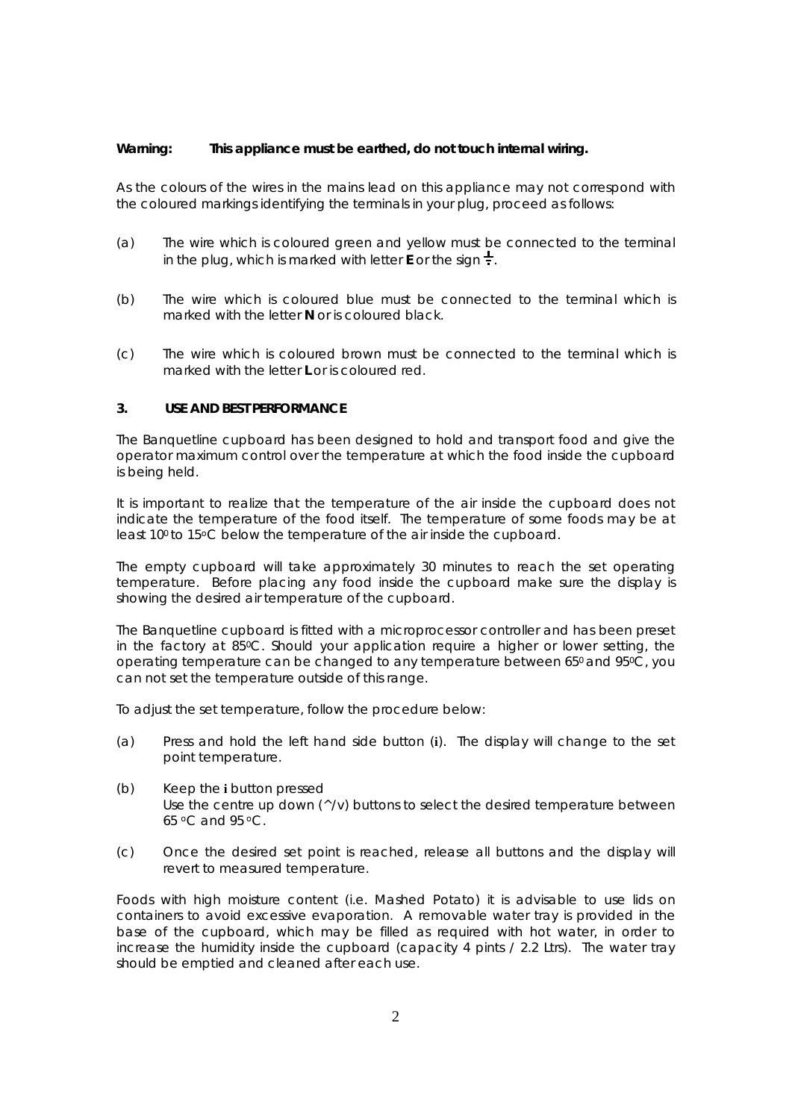#### **Warning: This appliance must be earthed, do not touch internal wiring.**

As the colours of the wires in the mains lead on this appliance may not correspond with the coloured markings identifying the terminals in your plug, proceed as follows:

- (a) The wire which is coloured green and yellow must be connected to the terminal in the plug, which is marked with letter **E** or the sign  $\frac{1}{x}$ .
- (b) The wire which is coloured blue must be connected to the terminal which is marked with the letter **N** or is coloured black.
- (c) The wire which is coloured brown must be connected to the terminal which is marked with the letter **L** or is coloured red.

## **3. USE AND BEST PERFORMANCE**

The Banquetline cupboard has been designed to hold and transport food and give the operator maximum control over the temperature at which the food inside the cupboard is being held.

It is important to realize that the temperature of the air inside the cupboard does not indicate the temperature of the food itself. The temperature of some foods may be at least 10<sup>°</sup> to 15°C below the temperature of the air inside the cupboard.

The empty cupboard will take approximately 30 minutes to reach the set operating temperature. Before placing any food inside the cupboard make sure the display is showing the desired air temperature of the cupboard.

The Banquetline cupboard is fitted with a microprocessor controller and has been preset in the factory at 85°C. Should your application require a higher or lower setting, the operating temperature can be changed to any temperature between 650 and 950C, you can not set the temperature outside of this range.

To adjust the set temperature, follow the procedure below:

- (a) Press and hold the left hand side button (**i**). The display will change to the set point temperature.
- (b) Keep the **i** button pressed Use the centre up down  $(\wedge/\vee)$  buttons to select the desired temperature between 65 oC and 95 oC.
- (c) Once the desired set point is reached, release all buttons and the display will revert to measured temperature.

Foods with high moisture content (i.e. Mashed Potato) it is advisable to use lids on containers to avoid excessive evaporation. A removable water tray is provided in the base of the cupboard, which may be filled as required with hot water, in order to increase the humidity inside the cupboard (capacity 4 pints / 2.2 Ltrs). The water tray should be emptied and cleaned after each use.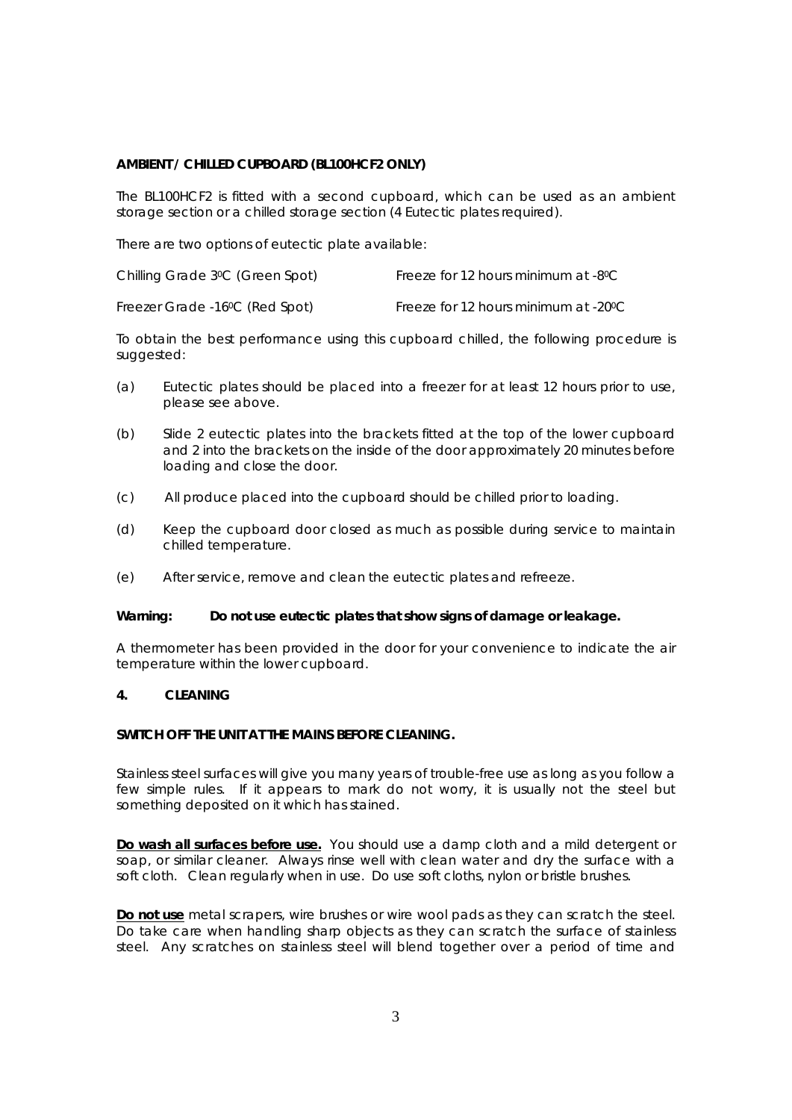## **AMBIENT / CHILLED CUPBOARD (BL100HCF2 ONLY)**

The BL100HCF2 is fitted with a second cupboard, which can be used as an ambient storage section or a chilled storage section (4 Eutectic plates required).

There are two options of eutectic plate available:

| Chilling Grade 3ºC (Green Spot) | Freeze for 12 hours minimum at -8°C |
|---------------------------------|-------------------------------------|
|                                 |                                     |

Freezer Grade -16<sup>°</sup>C (Red Spot) Freeze for 12 hours minimum at -20<sup>°</sup>C

To obtain the best performance using this cupboard chilled, the following procedure is suggested:

- (a) Eutectic plates should be placed into a freezer for at least 12 hours prior to use, please see above.
- (b) Slide 2 eutectic plates into the brackets fitted at the top of the lower cupboard and 2 into the brackets on the inside of the door approximately 20 minutes before loading and close the door.
- (c) All produce placed into the cupboard should be chilled prior to loading.
- (d) Keep the cupboard door closed as much as possible during service to maintain chilled temperature.
- (e) After service, remove and clean the eutectic plates and refreeze.

#### **Warning: Do not use eutectic plates that show signs of damage or leakage.**

A thermometer has been provided in the door for your convenience to indicate the air temperature within the lower cupboard.

#### **4. CLEANING**

## **SWITCH OFF THE UNIT AT THE MAINS BEFORE CLEANING.**

Stainless steel surfaces will give you many years of trouble-free use as long as you follow a few simple rules. If it appears to mark do not worry, it is usually not the steel but something deposited on it which has stained.

**Do wash all surfaces before use.** You should use a damp cloth and a mild detergent or soap, or similar cleaner. Always rinse well with clean water and dry the surface with a soft cloth. Clean regularly when in use.Do use soft cloths, nylon or bristle brushes.

**Do not use** metal scrapers, wire brushes or wire wool pads as they can scratch the steel. Do take care when handling sharp objects as they can scratch the surface of stainless steel. Any scratches on stainless steel will blend together over a period of time and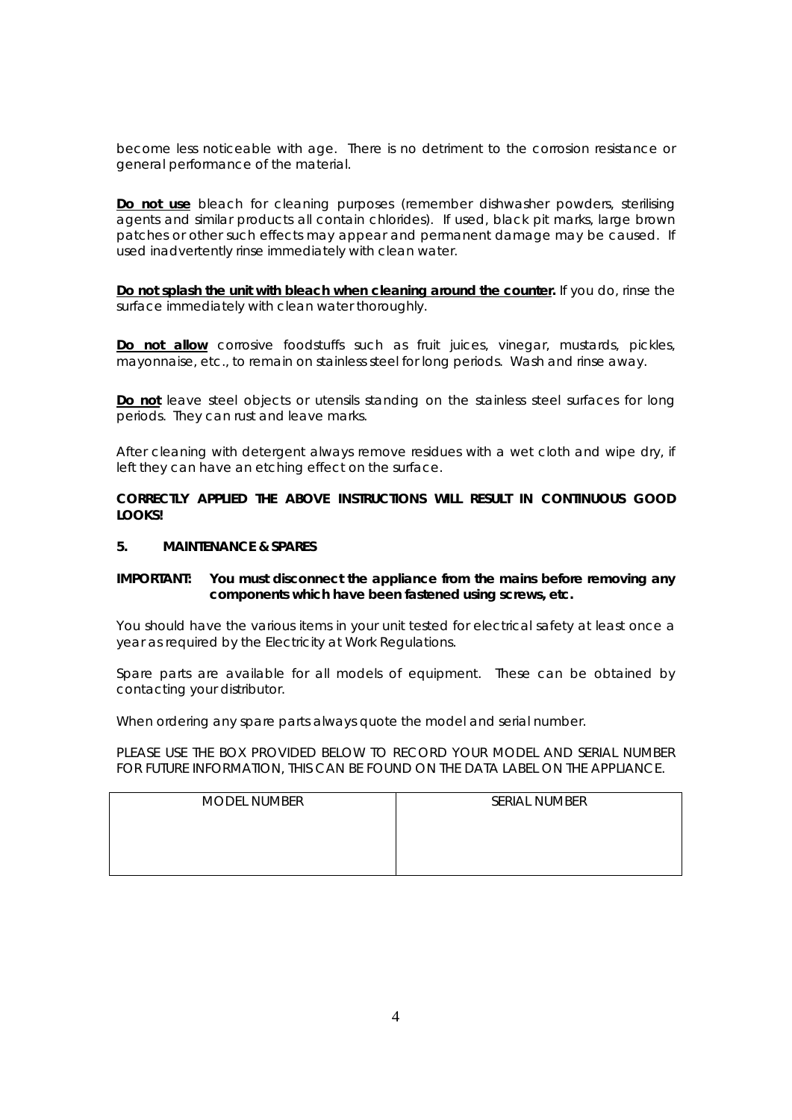become less noticeable with age. There is no detriment to the corrosion resistance or general performance of the material.

**Do not use** bleach for cleaning purposes (remember dishwasher powders, sterilising agents and similar products all contain chlorides). If used, black pit marks, large brown patches or other such effects may appear and permanent damage may be caused. If used inadvertently rinse immediately with clean water.

**Do not splash the unit with bleach when cleaning around the counter.** If you do, rinse the surface immediately with clean water thoroughly.

**Do not allow** corrosive foodstuffs such as fruit juices, vinegar, mustards, pickles, mayonnaise, etc., to remain on stainless steel for long periods. Wash and rinse away.

**Do not** leave steel objects or utensils standing on the stainless steel surfaces for long periods. They can rust and leave marks.

After cleaning with detergent always remove residues with a wet cloth and wipe dry, if left they can have an etching effect on the surface.

**CORRECTLY APPLIED THE ABOVE INSTRUCTIONS WILL RESULT IN CONTINUOUS GOOD LOOKS!** 

#### **5. MAINTENANCE & SPARES**

## **IMPORTANT: You must disconnect the appliance from the mains before removing any components which have been fastened using screws, etc.**

You should have the various items in your unit tested for electrical safety at least once a year as required by the Electricity at Work Regulations.

Spare parts are available for all models of equipment. These can be obtained by contacting your distributor.

When ordering any spare parts always quote the model and serial number.

PLEASE USE THE BOX PROVIDED BELOW TO RECORD YOUR MODEL AND SERIAL NUMBER FOR FUTURE INFORMATION, THIS CAN BE FOUND ON THE DATA LABEL ON THE APPLIANCE.

| <b>MODEL NUMBER</b> | SERIAL NUMBER |
|---------------------|---------------|
|                     |               |
|                     |               |
|                     |               |
|                     |               |
|                     |               |
|                     |               |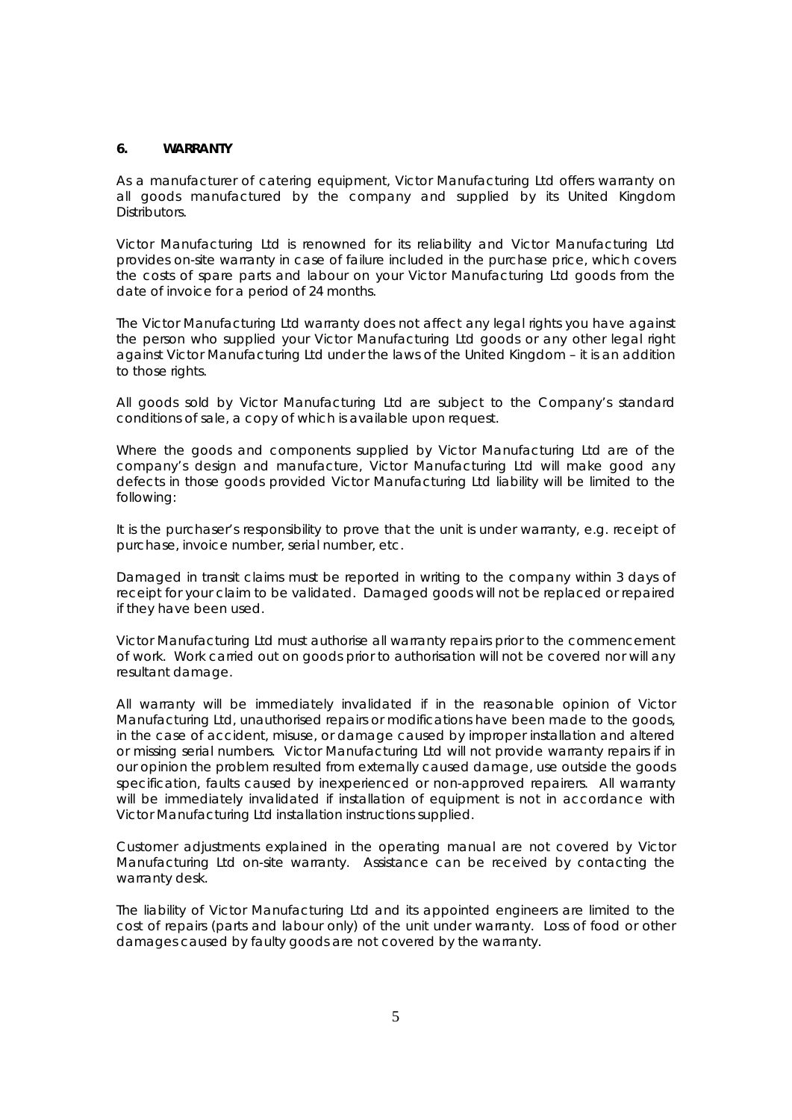#### **6. WARRANTY**

As a manufacturer of catering equipment, Victor Manufacturing Ltd offers warranty on all goods manufactured by the company and supplied by its United Kingdom Distributors.

Victor Manufacturing Ltd is renowned for its reliability and Victor Manufacturing Ltd provides on-site warranty in case of failure included in the purchase price, which covers the costs of spare parts and labour on your Victor Manufacturing Ltd goods from the date of invoice for a period of 24 months.

The Victor Manufacturing Ltd warranty does not affect any legal rights you have against the person who supplied your Victor Manufacturing Ltd goods or any other legal right against Victor Manufacturing Ltd under the laws of the United Kingdom – it is an addition to those rights.

All goods sold by Victor Manufacturing Ltd are subject to the Company's standard conditions of sale, a copy of which is available upon request.

Where the goods and components supplied by Victor Manufacturing Ltd are of the company's design and manufacture, Victor Manufacturing Ltd will make good any defects in those goods provided Victor Manufacturing Ltd liability will be limited to the following:

It is the purchaser's responsibility to prove that the unit is under warranty, e.g. receipt of purchase, invoice number, serial number, etc.

Damaged in transit claims must be reported in writing to the company within 3 days of receipt for your claim to be validated. Damaged goods will not be replaced or repaired if they have been used.

Victor Manufacturing Ltd must authorise all warranty repairs prior to the commencement of work. Work carried out on goods prior to authorisation will not be covered nor will any resultant damage.

All warranty will be immediately invalidated if in the reasonable opinion of Victor Manufacturing Ltd, unauthorised repairs or modifications have been made to the goods, in the case of accident, misuse, or damage caused by improper installation and altered or missing serial numbers.Victor Manufacturing Ltd will not provide warranty repairs if in our opinion the problem resulted from externally caused damage, use outside the goods specification, faults caused by inexperienced or non-approved repairers. All warranty will be immediately invalidated if installation of equipment is not in accordance with Victor Manufacturing Ltd installation instructions supplied.

Customer adjustments explained in the operating manual are not covered by Victor Manufacturing Ltd on-site warranty. Assistance can be received by contacting the warranty desk.

The liability of Victor Manufacturing Ltd and its appointed engineers are limited to the cost of repairs (parts and labour only) of the unit under warranty. Loss of food or other damages caused by faulty goods are not covered by the warranty.